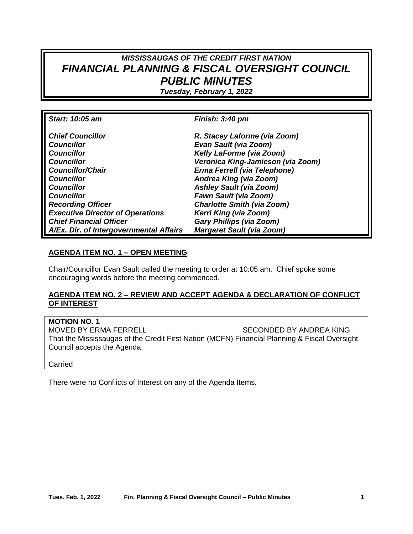# *MISSISSAUGAS OF THE CREDIT FIRST NATION FINANCIAL PLANNING & FISCAL OVERSIGHT COUNCIL PUBLIC MINUTES*

*Tuesday, February 1, 2022*

| Start: 10:05 am                         | <b>Finish: 3:40 pm</b>            |
|-----------------------------------------|-----------------------------------|
| <b>Chief Councillor</b>                 | R. Stacey Laforme (via Zoom)      |
| <b>Councillor</b>                       | <b>Evan Sault (via Zoom)</b>      |
| <b>Councillor</b>                       | Kelly LaForme (via Zoom)          |
| <b>Councillor</b>                       | Veronica King-Jamieson (via Zoom) |
| <b>Councillor/Chair</b>                 | Erma Ferrell (via Telephone)      |
| <b>Councillor</b>                       | Andrea King (via Zoom)            |
| <b>Councillor</b>                       | <b>Ashley Sault (via Zoom)</b>    |
| <b>Councillor</b>                       | <b>Fawn Sault (via Zoom)</b>      |
| <b>Recording Officer</b>                | <b>Charlotte Smith (via Zoom)</b> |
| <b>Executive Director of Operations</b> | Kerri King (via Zoom)             |
| <b>Chief Financial Officer</b>          | Gary Phillips (via Zoom)          |
| A/Ex. Dir. of Intergovernmental Affairs | <b>Margaret Sault (via Zoom)</b>  |

## **AGENDA ITEM NO. 1 – OPEN MEETING**

Chair/Councillor Evan Sault called the meeting to order at 10:05 am. Chief spoke some encouraging words before the meeting commenced.

## **AGENDA ITEM NO. 2 – REVIEW AND ACCEPT AGENDA & DECLARATION OF CONFLICT OF INTEREST**

**MOTION NO. 1** MOVED BY ERMA FERRELL SECONDED BY ANDREA KING That the Mississaugas of the Credit First Nation (MCFN) Financial Planning & Fiscal Oversight Council accepts the Agenda.

#### Carried

There were no Conflicts of Interest on any of the Agenda Items.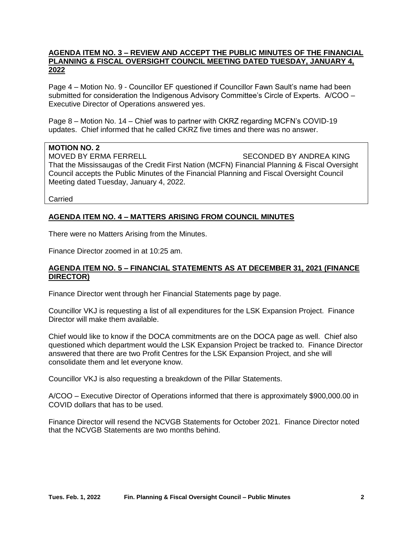## **AGENDA ITEM NO. 3 – REVIEW AND ACCEPT THE PUBLIC MINUTES OF THE FINANCIAL PLANNING & FISCAL OVERSIGHT COUNCIL MEETING DATED TUESDAY, JANUARY 4, 2022**

Page 4 – Motion No. 9 - Councillor EF questioned if Councillor Fawn Sault's name had been submitted for consideration the Indigenous Advisory Committee's Circle of Experts. A/COO – Executive Director of Operations answered yes.

Page 8 – Motion No. 14 – Chief was to partner with CKRZ regarding MCFN's COVID-19 updates. Chief informed that he called CKRZ five times and there was no answer.

## **MOTION NO. 2**

MOVED BY ERMA FERRELL SECONDED BY ANDREA KING That the Mississaugas of the Credit First Nation (MCFN) Financial Planning & Fiscal Oversight Council accepts the Public Minutes of the Financial Planning and Fiscal Oversight Council Meeting dated Tuesday, January 4, 2022.

Carried

## **AGENDA ITEM NO. 4 – MATTERS ARISING FROM COUNCIL MINUTES**

There were no Matters Arising from the Minutes.

Finance Director zoomed in at 10:25 am.

## **AGENDA ITEM NO. 5 – FINANCIAL STATEMENTS AS AT DECEMBER 31, 2021 (FINANCE DIRECTOR)**

Finance Director went through her Financial Statements page by page.

Councillor VKJ is requesting a list of all expenditures for the LSK Expansion Project. Finance Director will make them available.

Chief would like to know if the DOCA commitments are on the DOCA page as well. Chief also questioned which department would the LSK Expansion Project be tracked to. Finance Director answered that there are two Profit Centres for the LSK Expansion Project, and she will consolidate them and let everyone know.

Councillor VKJ is also requesting a breakdown of the Pillar Statements.

A/COO – Executive Director of Operations informed that there is approximately \$900,000.00 in COVID dollars that has to be used.

Finance Director will resend the NCVGB Statements for October 2021. Finance Director noted that the NCVGB Statements are two months behind.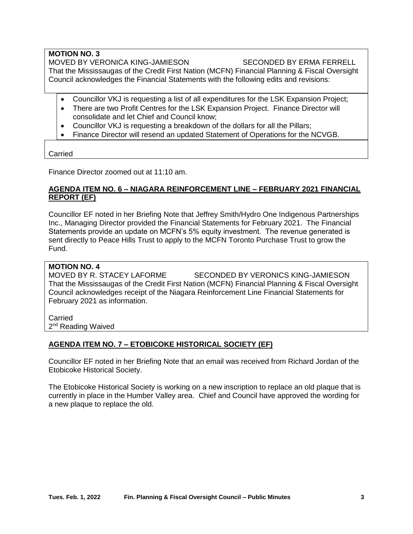## **MOTION NO. 3**

MOVED BY VERONICA KING-JAMIESON SECONDED BY ERMA FERRELL

That the Mississaugas of the Credit First Nation (MCFN) Financial Planning & Fiscal Oversight Council acknowledges the Financial Statements with the following edits and revisions:

- Councillor VKJ is requesting a list of all expenditures for the LSK Expansion Project;
- There are two Profit Centres for the LSK Expansion Project. Finance Director will consolidate and let Chief and Council know;
- Councillor VKJ is requesting a breakdown of the dollars for all the Pillars;
- Finance Director will resend an updated Statement of Operations for the NCVGB.

## Carried

Finance Director zoomed out at 11:10 am.

## **AGENDA ITEM NO. 6 – NIAGARA REINFORCEMENT LINE – FEBRUARY 2021 FINANCIAL REPORT (EF)**

Councillor EF noted in her Briefing Note that Jeffrey Smith/Hydro One Indigenous Partnerships Inc., Managing Director provided the Financial Statements for February 2021. The Financial Statements provide an update on MCFN's 5% equity investment. The revenue generated is sent directly to Peace Hills Trust to apply to the MCFN Toronto Purchase Trust to grow the Fund.

## **MOTION NO. 4** SECONDED BY VERONICS KING-JAMIESON That the Mississaugas of the Credit First Nation (MCFN) Financial Planning & Fiscal Oversight Council acknowledges receipt of the Niagara Reinforcement Line Financial Statements for February 2021 as information.

Carried 2<sup>nd</sup> Reading Waived

## **AGENDA ITEM NO. 7 – ETOBICOKE HISTORICAL SOCIETY (EF)**

Councillor EF noted in her Briefing Note that an email was received from Richard Jordan of the Etobicoke Historical Society.

The Etobicoke Historical Society is working on a new inscription to replace an old plaque that is currently in place in the Humber Valley area. Chief and Council have approved the wording for a new plaque to replace the old.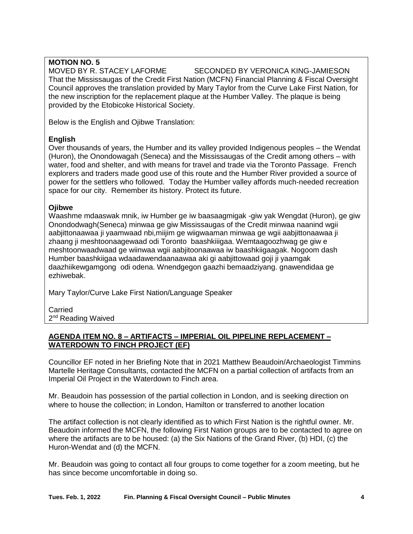**MOTION NO. 5** SECONDED BY VERONICA KING-JAMIESON That the Mississaugas of the Credit First Nation (MCFN) Financial Planning & Fiscal Oversight Council approves the translation provided by Mary Taylor from the Curve Lake First Nation, for the new inscription for the replacement plaque at the Humber Valley. The plaque is being provided by the Etobicoke Historical Society.

Below is the English and Ojibwe Translation:

## **English**

Over thousands of years, the Humber and its valley provided Indigenous peoples – the Wendat (Huron), the Onondowagah (Seneca) and the Mississaugas of the Credit among others – with water, food and shelter, and with means for travel and trade via the Toronto Passage. French explorers and traders made good use of this route and the Humber River provided a source of power for the settlers who followed. Today the Humber valley affords much-needed recreation space for our city. Remember its history. Protect its future.

## **Ojibwe**

Waashme mdaaswak mnik, iw Humber ge iw baasaagmigak -giw yak Wengdat (Huron), ge giw Onondodwagh(Seneca) minwaa ge giw Mississaugas of the Credit minwaa naanind wgii aabjittonaawaa ji yaamwaad nbi,miijim ge wiigwaaman minwaa ge wgii aabjittonaawaa ji zhaang ji meshtoonaagewaad odi Toronto baashkiiigaa. Wemtaagoozhwag ge giw e meshtoonwaadwaad ge wiinwaa wgii aabjitoonaawaa iw baashkiigaagak. Nogoom dash Humber baashkiigaa wdaadawendaanaawaa aki gi aabjittowaad goji ji yaamgak daazhiikewgamgong odi odena. Wnendgegon gaazhi bemaadziyang. gnawendidaa ge ezhiwebak.

Mary Taylor/Curve Lake First Nation/Language Speaker

## Carried 2<sup>nd</sup> Reading Waived

## **AGENDA ITEM NO. 8 – ARTIFACTS – IMPERIAL OIL PIPELINE REPLACEMENT – WATERDOWN TO FINCH PROJECT (EF)**

Councillor EF noted in her Briefing Note that in 2021 Matthew Beaudoin/Archaeologist Timmins Martelle Heritage Consultants, contacted the MCFN on a partial collection of artifacts from an Imperial Oil Project in the Waterdown to Finch area.

Mr. Beaudoin has possession of the partial collection in London, and is seeking direction on where to house the collection; in London, Hamilton or transferred to another location

The artifact collection is not clearly identified as to which First Nation is the rightful owner. Mr. Beaudoin informed the MCFN, the following First Nation groups are to be contacted to agree on where the artifacts are to be housed: (a) the Six Nations of the Grand River, (b) HDI, (c) the Huron-Wendat and (d) the MCFN.

Mr. Beaudoin was going to contact all four groups to come together for a zoom meeting, but he has since become uncomfortable in doing so.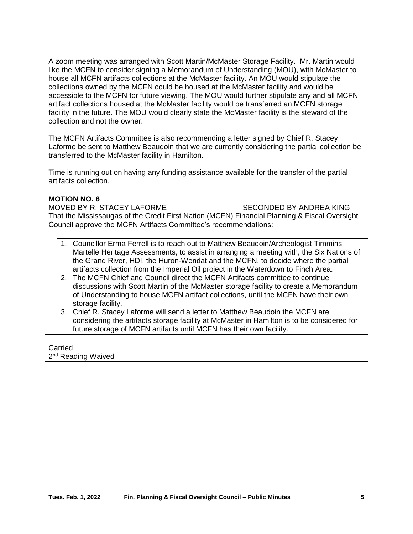A zoom meeting was arranged with Scott Martin/McMaster Storage Facility. Mr. Martin would like the MCFN to consider signing a Memorandum of Understanding (MOU), with McMaster to house all MCFN artifacts collections at the McMaster facility. An MOU would stipulate the collections owned by the MCFN could be housed at the McMaster facility and would be accessible to the MCFN for future viewing. The MOU would further stipulate any and all MCFN artifact collections housed at the McMaster facility would be transferred an MCFN storage facility in the future. The MOU would clearly state the McMaster facility is the steward of the collection and not the owner.

The MCFN Artifacts Committee is also recommending a letter signed by Chief R. Stacey Laforme be sent to Matthew Beaudoin that we are currently considering the partial collection be transferred to the McMaster facility in Hamilton.

Time is running out on having any funding assistance available for the transfer of the partial artifacts collection.

### **MOTION NO. 6**

MOVED BY R. STACEY LAFORME SECONDED BY ANDREA KING That the Mississaugas of the Credit First Nation (MCFN) Financial Planning & Fiscal Oversight Council approve the MCFN Artifacts Committee's recommendations:

- 1. Councillor Erma Ferrell is to reach out to Matthew Beaudoin/Archeologist Timmins Martelle Heritage Assessments, to assist in arranging a meeting with, the Six Nations of the Grand River, HDI, the Huron-Wendat and the MCFN, to decide where the partial artifacts collection from the Imperial Oil project in the Waterdown to Finch Area.
- 2. The MCFN Chief and Council direct the MCFN Artifacts committee to continue discussions with Scott Martin of the McMaster storage facility to create a Memorandum of Understanding to house MCFN artifact collections, until the MCFN have their own storage facility.
- 3. Chief R. Stacey Laforme will send a letter to Matthew Beaudoin the MCFN are considering the artifacts storage facility at McMaster in Hamilton is to be considered for future storage of MCFN artifacts until MCFN has their own facility.

Carried 2<sup>nd</sup> Reading Waived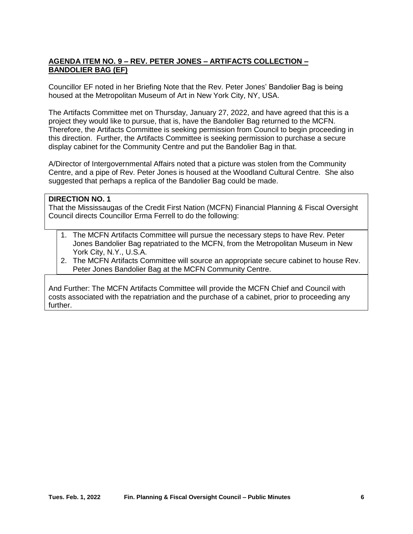## **AGENDA ITEM NO. 9 – REV. PETER JONES – ARTIFACTS COLLECTION – BANDOLIER BAG (EF)**

Councillor EF noted in her Briefing Note that the Rev. Peter Jones' Bandolier Bag is being housed at the Metropolitan Museum of Art in New York City, NY, USA.

The Artifacts Committee met on Thursday, January 27, 2022, and have agreed that this is a project they would like to pursue, that is, have the Bandolier Bag returned to the MCFN. Therefore, the Artifacts Committee is seeking permission from Council to begin proceeding in this direction. Further, the Artifacts Committee is seeking permission to purchase a secure display cabinet for the Community Centre and put the Bandolier Bag in that.

A/Director of Intergovernmental Affairs noted that a picture was stolen from the Community Centre, and a pipe of Rev. Peter Jones is housed at the Woodland Cultural Centre. She also suggested that perhaps a replica of the Bandolier Bag could be made.

#### **DIRECTION NO. 1**

That the Mississaugas of the Credit First Nation (MCFN) Financial Planning & Fiscal Oversight Council directs Councillor Erma Ferrell to do the following:

- 1. The MCFN Artifacts Committee will pursue the necessary steps to have Rev. Peter Jones Bandolier Bag repatriated to the MCFN, from the Metropolitan Museum in New York City, N.Y., U.S.A.
- 2. The MCFN Artifacts Committee will source an appropriate secure cabinet to house Rev. Peter Jones Bandolier Bag at the MCFN Community Centre.

And Further: The MCFN Artifacts Committee will provide the MCFN Chief and Council with costs associated with the repatriation and the purchase of a cabinet, prior to proceeding any further.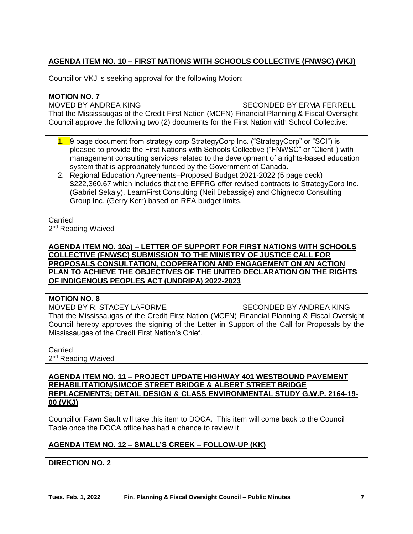## **AGENDA ITEM NO. 10 – FIRST NATIONS WITH SCHOOLS COLLECTIVE (FNWSC) (VKJ)**

Councillor VKJ is seeking approval for the following Motion:

## **MOTION NO. 7**

#### MOVED BY ANDREA KING SECONDED BY ERMA FERRELL

That the Mississaugas of the Credit First Nation (MCFN) Financial Planning & Fiscal Oversight Council approve the following two (2) documents for the First Nation with School Collective:

- 1. 9 page document from strategy corp StrategyCorp Inc. ("StrategyCorp" or "SCI") is pleased to provide the First Nations with Schools Collective ("FNWSC" or "Client") with management consulting services related to the development of a rights-based education system that is appropriately funded by the Government of Canada.
- 2. Regional Education Agreements–Proposed Budget 2021-2022 (5 page deck) \$222,360.67 which includes that the EFFRG offer revised contracts to StrategyCorp Inc. (Gabriel Sekaly), LearnFirst Consulting (Neil Debassige) and Chignecto Consulting Group Inc. (Gerry Kerr) based on REA budget limits.

**Carried** 2<sup>nd</sup> Reading Waived

## **AGENDA ITEM NO. 10a) – LETTER OF SUPPORT FOR FIRST NATIONS WITH SCHOOLS COLLECTIVE (FNWSC) SUBMISSION TO THE MINISTRY OF JUSTICE CALL FOR PROPOSALS CONSULTATION, COOPERATION AND ENGAGEMENT ON AN ACTION PLAN TO ACHIEVE THE OBJECTIVES OF THE UNITED DECLARATION ON THE RIGHTS OF INDIGENOUS PEOPLES ACT (UNDRIPA) 2022-2023**

## **MOTION NO. 8**

MOVED BY R. STACEY LAFORME SECONDED BY ANDREA KING That the Mississaugas of the Credit First Nation (MCFN) Financial Planning & Fiscal Oversight Council hereby approves the signing of the Letter in Support of the Call for Proposals by the Mississaugas of the Credit First Nation's Chief.

Carried 2<sup>nd</sup> Reading Waived

### **AGENDA ITEM NO. 11 – PROJECT UPDATE HIGHWAY 401 WESTBOUND PAVEMENT REHABILITATION/SIMCOE STREET BRIDGE & ALBERT STREET BRIDGE REPLACEMENTS; DETAIL DESIGN & CLASS ENVIRONMENTAL STUDY G.W.P. 2164-19- 00 (VKJ)**

Councillor Fawn Sault will take this item to DOCA. This item will come back to the Council Table once the DOCA office has had a chance to review it.

## **AGENDA ITEM NO. 12 – SMALL'S CREEK – FOLLOW-UP (KK)**

## **DIRECTION NO. 2**